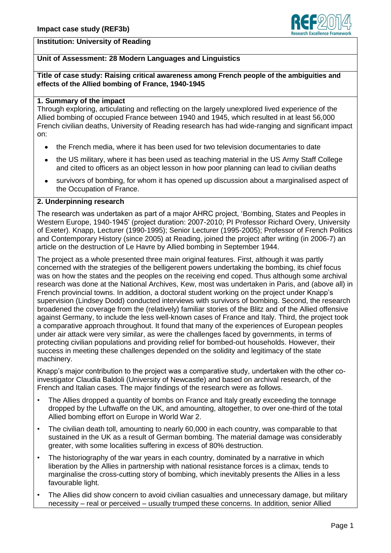

## **Institution: University of Reading**

# **Unit of Assessment: 28 Modern Languages and Linguistics**

#### **Title of case study: Raising critical awareness among French people of the ambiguities and effects of the Allied bombing of France, 1940-1945**

### **1. Summary of the impact**

Through exploring, articulating and reflecting on the largely unexplored lived experience of the Allied bombing of occupied France between 1940 and 1945, which resulted in at least 56,000 French civilian deaths, University of Reading research has had wide-ranging and significant impact on:

- the French media, where it has been used for two television documentaries to date
- the US military, where it has been used as teaching material in the US Army Staff College and cited to officers as an object lesson in how poor planning can lead to civilian deaths
- survivors of bombing, for whom it has opened up discussion about a marginalised aspect of  $\bullet$ the Occupation of France.

#### **2. Underpinning research**

The research was undertaken as part of a major AHRC project, 'Bombing, States and Peoples in Western Europe, 1940-1945' (project duration: 2007-2010; PI Professor Richard Overy, University of Exeter). Knapp, Lecturer (1990-1995); Senior Lecturer (1995-2005); Professor of French Politics and Contemporary History (since 2005) at Reading, joined the project after writing (in 2006-7) an article on the destruction of Le Havre by Allied bombing in September 1944.

The project as a whole presented three main original features. First, although it was partly concerned with the strategies of the belligerent powers undertaking the bombing, its chief focus was on how the states and the peoples on the receiving end coped. Thus although some archival research was done at the National Archives, Kew, most was undertaken in Paris, and (above all) in French provincial towns. In addition, a doctoral student working on the project under Knapp's supervision (Lindsey Dodd) conducted interviews with survivors of bombing. Second, the research broadened the coverage from the (relatively) familiar stories of the Blitz and of the Allied offensive against Germany, to include the less well-known cases of France and Italy. Third, the project took a comparative approach throughout. It found that many of the experiences of European peoples under air attack were very similar, as were the challenges faced by governments, in terms of protecting civilian populations and providing relief for bombed-out households. However, their success in meeting these challenges depended on the solidity and legitimacy of the state machinery.

Knapp's major contribution to the project was a comparative study, undertaken with the other coinvestigator Claudia Baldoli (University of Newcastle) and based on archival research, of the French and Italian cases. The major findings of the research were as follows.

- The Allies dropped a quantity of bombs on France and Italy greatly exceeding the tonnage dropped by the Luftwaffe on the UK, and amounting, altogether, to over one-third of the total Allied bombing effort on Europe in World War 2.
- The civilian death toll, amounting to nearly 60,000 in each country, was comparable to that sustained in the UK as a result of German bombing. The material damage was considerably greater, with some localities suffering in excess of 80% destruction.
- The historiography of the war years in each country, dominated by a narrative in which liberation by the Allies in partnership with national resistance forces is a climax, tends to marginalise the cross-cutting story of bombing, which inevitably presents the Allies in a less favourable light.
- The Allies did show concern to avoid civilian casualties and unnecessary damage, but military necessity – real or perceived – usually trumped these concerns. In addition, senior Allied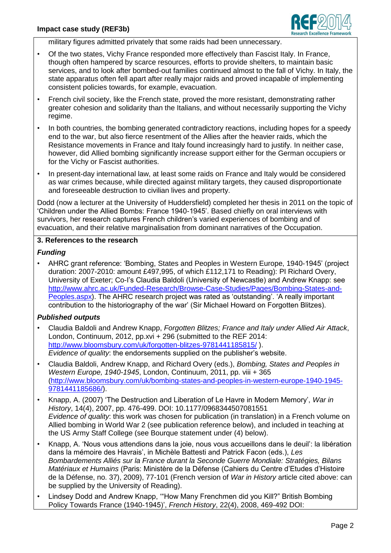

military figures admitted privately that some raids had been unnecessary.

- Of the two states, Vichy France responded more effectively than Fascist Italy. In France, though often hampered by scarce resources, efforts to provide shelters, to maintain basic services, and to look after bombed-out families continued almost to the fall of Vichy. In Italy, the state apparatus often fell apart after really major raids and proved incapable of implementing consistent policies towards, for example, evacuation.
- French civil society, like the French state, proved the more resistant, demonstrating rather greater cohesion and solidarity than the Italians, and without necessarily supporting the Vichy regime.
- In both countries, the bombing generated contradictory reactions, including hopes for a speedy end to the war, but also fierce resentment of the Allies after the heavier raids, which the Resistance movements in France and Italy found increasingly hard to justify. In neither case, however, did Allied bombing significantly increase support either for the German occupiers or for the Vichy or Fascist authorities.
- In present-day international law, at least some raids on France and Italy would be considered as war crimes because, while directed against military targets, they caused disproportionate and foreseeable destruction to civilian lives and property.

Dodd (now a lecturer at the University of Huddersfield) completed her thesis in 2011 on the topic of 'Children under the Allied Bombs: France 1940-1945'. Based chiefly on oral interviews with survivors, her research captures French children's varied experiences of bombing and of evacuation, and their relative marginalisation from dominant narratives of the Occupation.

### **3. References to the research**

### *Funding*

• AHRC grant reference: 'Bombing, States and Peoples in Western Europe, 1940-1945' (project duration: 2007-2010: amount £497,995, of which £112,171 to Reading): PI Richard Overy, University of Exeter; Co-I's Claudia Baldoli (University of Newcastle) and Andrew Knapp: see [http://www.ahrc.ac.uk/Funded-Research/Browse-Case-Studies/Pages/Bombing-States-and-](http://www.ahrc.ac.uk/Funded-Research/Browse-Case-Studies/Pages/Bombing-States-and-Peoples.aspx)[Peoples.aspx\)](http://www.ahrc.ac.uk/Funded-Research/Browse-Case-Studies/Pages/Bombing-States-and-Peoples.aspx). The AHRC research project was rated as 'outstanding'. 'A really important contribution to the historiography of the war' (Sir Michael Howard on Forgotten Blitzes).

### *Published outputs*

- Claudia Baldoli and Andrew Knapp, *Forgotten Blitzes; France and Italy under Allied Air Attack*, London, Continuum, 2012, pp.xvi + 296 (submitted to the REF 2014: <http://www.bloomsbury.com/uk/forgotten-blitzes-9781441185815/> ). *Evidence of quality*: the endorsements supplied on the publisher's website.
- Claudia Baldoli, Andrew Knapp, and Richard Overy (eds.), *Bombing, States and Peoples in Western Europe, 1940-1945*, London, Continuum, 2011, pp. viii + 365 [\(http://www.bloomsbury.com/uk/bombing-states-and-peoples-in-western-europe-1940-1945-](http://www.bloomsbury.com/uk/bombing-states-and-peoples-in-western-europe-1940-1945-9781441185686/) [9781441185686/\)](http://www.bloomsbury.com/uk/bombing-states-and-peoples-in-western-europe-1940-1945-9781441185686/).
- Knapp, A. (2007) 'The Destruction and Liberation of Le Havre in Modern Memory', *War in History*, 14(4), 2007, pp. 476-499. DOI: 10.1177/0968344507081551 *Evidence of quality*: this work was chosen for publication (in translation) in a French volume on Allied bombing in World War 2 (see publication reference below), and included in teaching at the US Army Staff College (see Bourque statement under (4) below).
- Knapp, A. 'Nous vous attendions dans la joie, nous vous accueillons dans le deuil': la libération dans la mémoire des Havrais', in Michèle Battesti and Patrick Facon (eds.), *Les Bombardements Alliés sur la France durant la Seconde Guerre Mondiale: Stratégies, Bilans Matériaux et Humains* (Paris: Ministère de la Défense (Cahiers du Centre d'Etudes d'Histoire de la Défense, no. 37), 2009), 77-101 (French version of *War in History* article cited above: can be supplied by the University of Reading).
- Lindsey Dodd and Andrew Knapp, '"How Many Frenchmen did you Kill?" British Bombing Policy Towards France (1940-1945)', *French History*, 22(4), 2008, 469-492 DOI: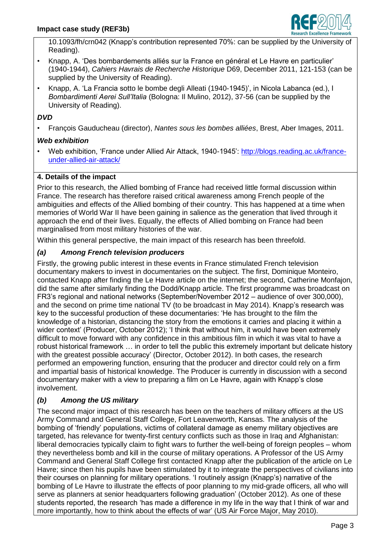

10.1093/fh/crn042 (Knapp's contribution represented 70%: can be supplied by the University of Reading).

- Knapp, A. 'Des bombardements alliés sur la France en général et Le Havre en particulier' (1940-1944), *Cahiers Havrais de Recherche Historique* D69, December 2011, 121-153 (can be supplied by the University of Reading).
- Knapp, A. 'La Francia sotto le bombe degli Alleati (1940-1945)', in Nicola Labanca (ed.), I *Bombardimenti Aerei Sull'Italia* (Bologna: Il Mulino, 2012), 37-56 (can be supplied by the University of Reading).

# *DVD*

• François Gauducheau (director), *Nantes sous les bombes alliées*, Brest, Aber Images, 2011.

# *Web exhibition*

• Web exhibition, 'France under Allied Air Attack, 1940-1945': [http://blogs.reading.ac.uk/france](http://blogs.reading.ac.uk/france-under-allied-air-attack/)[under-allied-air-attack/](http://blogs.reading.ac.uk/france-under-allied-air-attack/)

# **4. Details of the impact**

Prior to this research, the Allied bombing of France had received little formal discussion within France. The research has therefore raised critical awareness among French people of the ambiguities and effects of the Allied bombing of their country. This has happened at a time when memories of World War II have been gaining in salience as the generation that lived through it approach the end of their lives. Equally, the effects of Allied bombing on France had been marginalised from most military histories of the war.

Within this general perspective, the main impact of this research has been threefold.

# *(a) Among French television producers*

Firstly, the growing public interest in these events in France stimulated French television documentary makers to invest in documentaries on the subject. The first, Dominique Monteiro, contacted Knapp after finding the Le Havre article on the internet; the second, Catherine Monfajon, did the same after similarly finding the Dodd/Knapp article. The first programme was broadcast on FR3's regional and national networks (September/November 2012 – audience of over 300,000), and the second on prime time national TV (to be broadcast in May 2014). Knapp's research was key to the successful production of these documentaries: 'He has brought to the film the knowledge of a historian, distancing the story from the emotions it carries and placing it within a wider context' (Producer, October 2012); 'I think that without him, it would have been extremely difficult to move forward with any confidence in this ambitious film in which it was vital to have a robust historical framework … in order to tell the public this extremely important but delicate history with the greatest possible accuracy' (Director, October 2012). In both cases, the research performed an empowering function, ensuring that the producer and director could rely on a firm and impartial basis of historical knowledge. The Producer is currently in discussion with a second documentary maker with a view to preparing a film on Le Havre, again with Knapp's close involvement.

# *(b) Among the US military*

The second major impact of this research has been on the teachers of military officers at the US Army Command and General Staff College, Fort Leavenworth, Kansas. The analysis of the bombing of 'friendly' populations, victims of collateral damage as enemy military objectives are targeted, has relevance for twenty-first century conflicts such as those in Iraq and Afghanistan: liberal democracies typically claim to fight wars to further the well-being of foreign peoples – whom they nevertheless bomb and kill in the course of military operations. A Professor of the US Army Command and General Staff College first contacted Knapp after the publication of the article on Le Havre; since then his pupils have been stimulated by it to integrate the perspectives of civilians into their courses on planning for military operations. 'I routinely assign (Knapp's) narrative of the bombing of Le Havre to illustrate the effects of poor planning to my mid-grade officers, all who will serve as planners at senior headquarters following graduation' (October 2012). As one of these students reported, the research 'has made a difference in my life in the way that I think of war and more importantly, how to think about the effects of war' (US Air Force Major, May 2010).